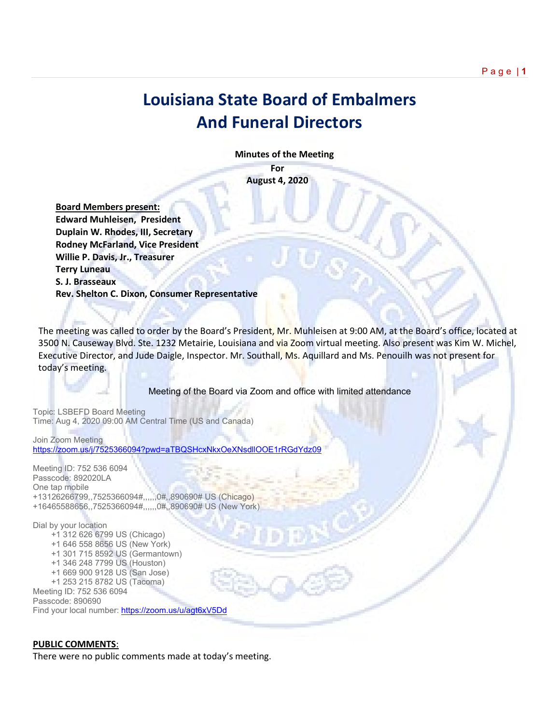## **Louisiana State Board of Embalmers And Funeral Directors**

 **Minutes of the Meeting**

**For August 4, 2020**

 **Board Members present: Edward Muhleisen, President Duplain W. Rhodes, III, Secretary Rodney McFarland, Vice President Willie P. Davis, Jr., Treasurer Terry Luneau S. J. Brasseaux Rev. Shelton C. Dixon, Consumer Representative**

The meeting was called to order by the Board's President, Mr. Muhleisen at 9:00 AM, at the Board's office, located at 3500 N. Causeway Blvd. Ste. 1232 Metairie, Louisiana and via Zoom virtual meeting. Also present was Kim W. Michel, Executive Director, and Jude Daigle, Inspector. Mr. Southall, Ms. Aquillard and Ms. Penouilh was not present for today's meeting.

Meeting of the Board via Zoom and office with limited attendance

Topic: LSBEFD Board Meeting Time: Aug 4, 2020 09:00 AM Central Time (US and Canada)

Join Zoom Meeting <https://zoom.us/j/7525366094?pwd=aTBQSHcxNkxOeXNsdllOOE1rRGdYdz09>

Meeting ID: 752 536 6094 Passcode: 892020LA One tap mobile +13126266799,,7525366094#,,,,,,0#,,890690# US (Chicago) +16465588656,,7525366094#,,,,,,0#,,890690# US (New York)

Dial by your location +1 312 626 6799 US (Chicago) +1 646 558 8656 US (New York) +1 301 715 8592 US (Germantown) +1 346 248 7799 US (Houston) +1 669 900 9128 US (San Jose) +1 253 215 8782 US (Tacoma) Meeting ID: 752 536 6094 Passcode: 890690 Find your local number[: https://zoom.us/u/agt6xV5Dd](https://zoom.us/u/agt6xV5Dd)

## **PUBLIC COMMENTS**:

There were no public comments made at today's meeting.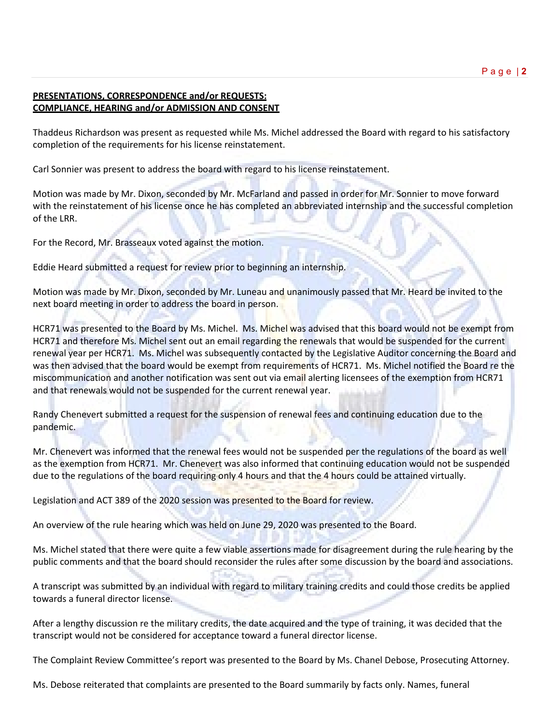## **PRESENTATIONS, CORRESPONDENCE and/or REQUESTS: COMPLIANCE, HEARING and/or ADMISSION AND CONSENT**

Thaddeus Richardson was present as requested while Ms. Michel addressed the Board with regard to his satisfactory completion of the requirements for his license reinstatement.

Carl Sonnier was present to address the board with regard to his license reinstatement.

Motion was made by Mr. Dixon, seconded by Mr. McFarland and passed in order for Mr. Sonnier to move forward with the reinstatement of his license once he has completed an abbreviated internship and the successful completion of the LRR.

For the Record, Mr. Brasseaux voted against the motion.

Eddie Heard submitted a request for review prior to beginning an internship.

Motion was made by Mr. Dixon, seconded by Mr. Luneau and unanimously passed that Mr. Heard be invited to the next board meeting in order to address the board in person.

HCR71 was presented to the Board by Ms. Michel. Ms. Michel was advised that this board would not be exempt from HCR71 and therefore Ms. Michel sent out an email regarding the renewals that would be suspended for the current renewal year per HCR71. Ms. Michel was subsequently contacted by the Legislative Auditor concerning the Board and was then advised that the board would be exempt from requirements of HCR71. Ms. Michel notified the Board re the miscommunication and another notification was sent out via email alerting licensees of the exemption from HCR71 and that renewals would not be suspended for the current renewal year.

Randy Chenevert submitted a request for the suspension of renewal fees and continuing education due to the pandemic.

Mr. Chenevert was informed that the renewal fees would not be suspended per the regulations of the board as well as the exemption from HCR71. Mr. Chenevert was also informed that continuing education would not be suspended due to the regulations of the board requiring only 4 hours and that the 4 hours could be attained virtually.

Legislation and ACT 389 of the 2020 session was presented to the Board for review.

An overview of the rule hearing which was held on June 29, 2020 was presented to the Board.

Ms. Michel stated that there were quite a few viable assertions made for disagreement during the rule hearing by the public comments and that the board should reconsider the rules after some discussion by the board and associations.

A transcript was submitted by an individual with regard to military training credits and could those credits be applied towards a funeral director license.

After a lengthy discussion re the military credits, the date acquired and the type of training, it was decided that the transcript would not be considered for acceptance toward a funeral director license.

The Complaint Review Committee's report was presented to the Board by Ms. Chanel Debose, Prosecuting Attorney.

Ms. Debose reiterated that complaints are presented to the Board summarily by facts only. Names, funeral